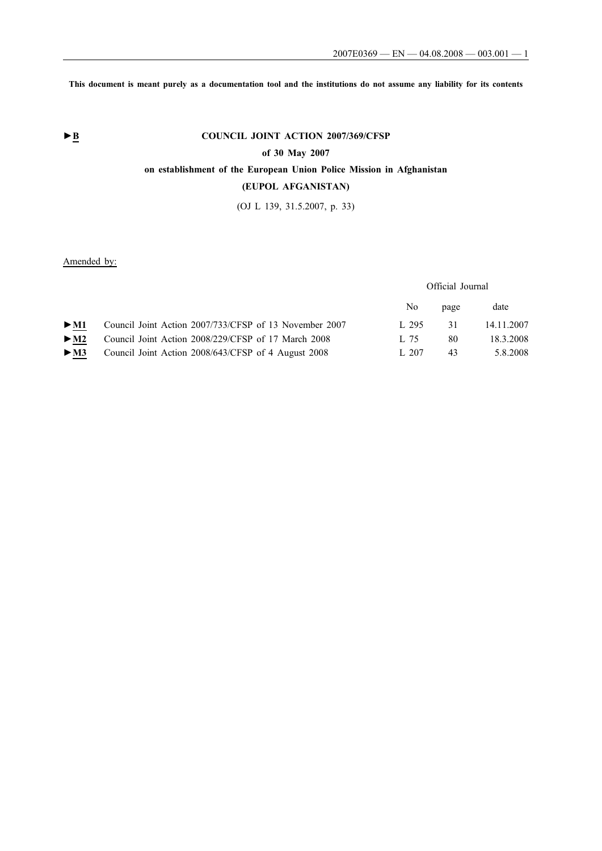**This document is meant purely as a documentation tool and the institutions do not assume any liability for its contents**

# **►B COUNCIL JOINT ACTION 2007/369/CFSP**

## **of 30 May 2007**

## **on establishment of the European Union Police Mission in Afghanistan**

## **(EUPOL AFGANISTAN)**

(OJ L 139, 31.5.2007, p. 33)

Amended by:

## Official Journal

|                          |                                                        | No.   | page | date       |
|--------------------------|--------------------------------------------------------|-------|------|------------|
| $>$ M1                   | Council Joint Action 2007/733/CFSP of 13 November 2007 | 1.295 | 31   | 14.11.2007 |
| $>$ M2                   | Council Joint Action 2008/229/CFSP of 17 March 2008    | L 75  | 80   | 18.3.2008  |
| $\blacktriangleright$ M3 | Council Joint Action 2008/643/CFSP of 4 August 2008    | 1.207 | 43   | 5.8.2008   |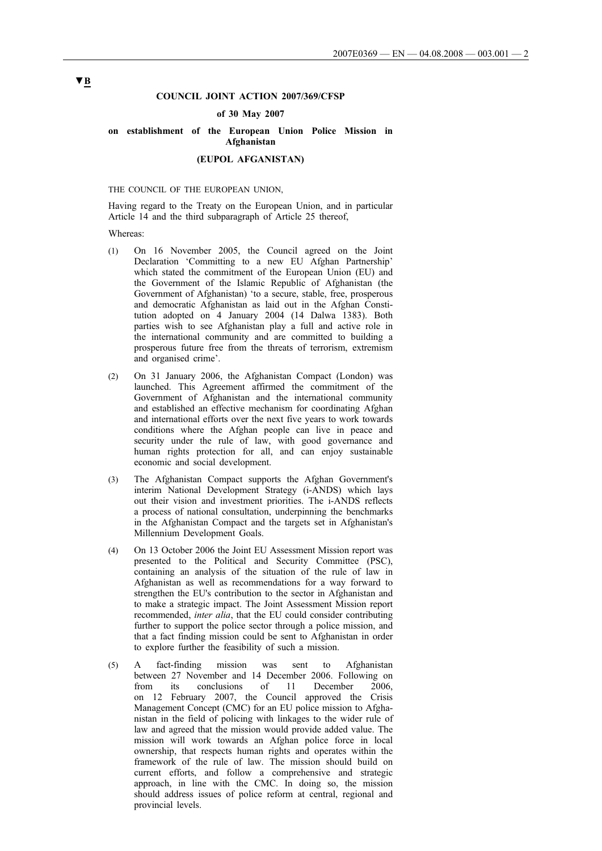### **COUNCIL JOINT ACTION 2007/369/CFSP**

#### **of 30 May 2007**

# **on establishment of the European Union Police Mission in Afghanistan**

## **(EUPOL AFGANISTAN)**

#### THE COUNCIL OF THE EUROPEAN UNION,

Having regard to the Treaty on the European Union, and in particular Article 14 and the third subparagraph of Article 25 thereof,

#### Whereas:

- (1) On 16 November 2005, the Council agreed on the Joint Declaration 'Committing to a new EU Afghan Partnership' which stated the commitment of the European Union (EU) and the Government of the Islamic Republic of Afghanistan (the Government of Afghanistan) 'to a secure, stable, free, prosperous and democratic Afghanistan as laid out in the Afghan Constitution adopted on 4 January 2004 (14 Dalwa 1383). Both parties wish to see Afghanistan play a full and active role in the international community and are committed to building a prosperous future free from the threats of terrorism, extremism and organised crime'.
- (2) On 31 January 2006, the Afghanistan Compact (London) was launched. This Agreement affirmed the commitment of the Government of Afghanistan and the international community and established an effective mechanism for coordinating Afghan and international efforts over the next five years to work towards conditions where the Afghan people can live in peace and security under the rule of law, with good governance and human rights protection for all, and can enjoy sustainable economic and social development.
- (3) The Afghanistan Compact supports the Afghan Government's interim National Development Strategy (i-ANDS) which lays out their vision and investment priorities. The i-ANDS reflects a process of national consultation, underpinning the benchmarks in the Afghanistan Compact and the targets set in Afghanistan's Millennium Development Goals.
- (4) On 13 October 2006 the Joint EU Assessment Mission report was presented to the Political and Security Committee (PSC), containing an analysis of the situation of the rule of law in Afghanistan as well as recommendations for a way forward to strengthen the EU's contribution to the sector in Afghanistan and to make a strategic impact. The Joint Assessment Mission report recommended, *inter alia*, that the EU could consider contributing further to support the police sector through a police mission, and that a fact finding mission could be sent to Afghanistan in order to explore further the feasibility of such a mission.
- (5) A fact-finding mission was sent to Afghanistan between 27 November and 14 December 2006. Following on from its conclusions of 11 December 2006, on 12 February 2007, the Council approved the Crisis Management Concept (CMC) for an EU police mission to Afghanistan in the field of policing with linkages to the wider rule of law and agreed that the mission would provide added value. The mission will work towards an Afghan police force in local ownership, that respects human rights and operates within the framework of the rule of law. The mission should build on current efforts, and follow a comprehensive and strategic approach, in line with the CMC. In doing so, the mission should address issues of police reform at central, regional and provincial levels.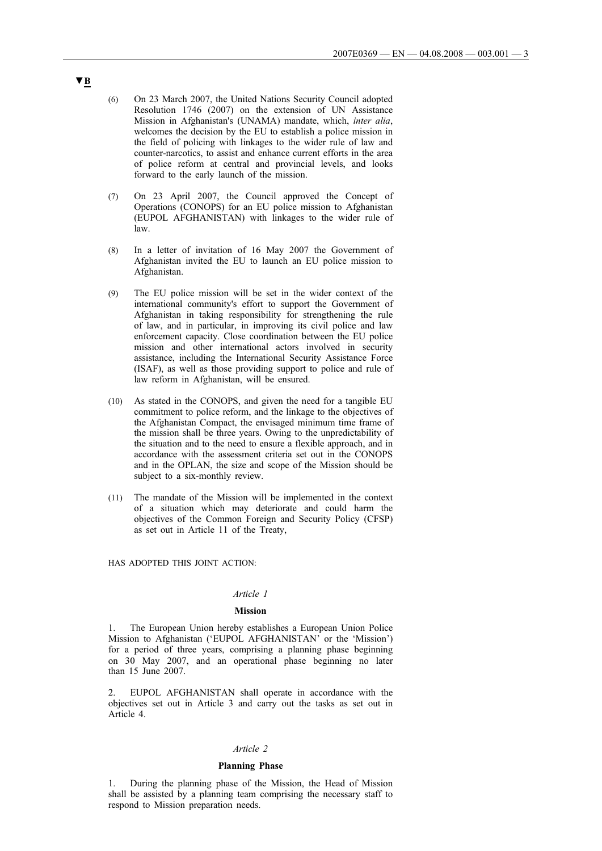- (6) On 23 March 2007, the United Nations Security Council adopted Resolution 1746 (2007) on the extension of UN Assistance Mission in Afghanistan's (UNAMA) mandate, which, *inter alia*, welcomes the decision by the EU to establish a police mission in the field of policing with linkages to the wider rule of law and counter-narcotics, to assist and enhance current efforts in the area of police reform at central and provincial levels, and looks forward to the early launch of the mission.
- (7) On 23 April 2007, the Council approved the Concept of Operations (CONOPS) for an EU police mission to Afghanistan (EUPOL AFGHANISTAN) with linkages to the wider rule of law.
- (8) In a letter of invitation of 16 May 2007 the Government of Afghanistan invited the EU to launch an EU police mission to Afghanistan.
- (9) The EU police mission will be set in the wider context of the international community's effort to support the Government of Afghanistan in taking responsibility for strengthening the rule of law, and in particular, in improving its civil police and law enforcement capacity. Close coordination between the EU police mission and other international actors involved in security assistance, including the International Security Assistance Force (ISAF), as well as those providing support to police and rule of law reform in Afghanistan, will be ensured.
- (10) As stated in the CONOPS, and given the need for a tangible EU commitment to police reform, and the linkage to the objectives of the Afghanistan Compact, the envisaged minimum time frame of the mission shall be three years. Owing to the unpredictability of the situation and to the need to ensure a flexible approach, and in accordance with the assessment criteria set out in the CONOPS and in the OPLAN, the size and scope of the Mission should be subject to a six-monthly review.
- (11) The mandate of the Mission will be implemented in the context of a situation which may deteriorate and could harm the objectives of the Common Foreign and Security Policy (CFSP) as set out in Article 11 of the Treaty,

HAS ADOPTED THIS JOINT ACTION:

## *Article 1*

#### **Mission**

1. The European Union hereby establishes a European Union Police Mission to Afghanistan ('EUPOL AFGHANISTAN' or the 'Mission') for a period of three years, comprising a planning phase beginning on 30 May 2007, and an operational phase beginning no later than 15 June 2007.

EUPOL AFGHANISTAN shall operate in accordance with the objectives set out in Article 3 and carry out the tasks as set out in Article 4.

#### *Article 2*

## **Planning Phase**

1. During the planning phase of the Mission, the Head of Mission shall be assisted by a planning team comprising the necessary staff to respond to Mission preparation needs.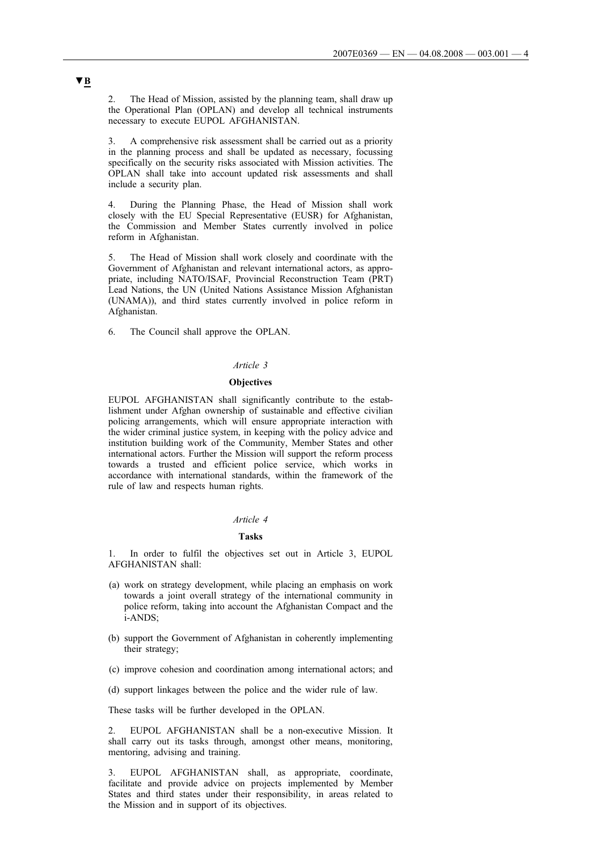2. The Head of Mission, assisted by the planning team, shall draw up the Operational Plan (OPLAN) and develop all technical instruments necessary to execute EUPOL AFGHANISTAN.

3. A comprehensive risk assessment shall be carried out as a priority in the planning process and shall be updated as necessary, focussing specifically on the security risks associated with Mission activities. The OPLAN shall take into account updated risk assessments and shall include a security plan.

4. During the Planning Phase, the Head of Mission shall work closely with the EU Special Representative (EUSR) for Afghanistan, the Commission and Member States currently involved in police reform in Afghanistan.

5. The Head of Mission shall work closely and coordinate with the Government of Afghanistan and relevant international actors, as appropriate, including NATO/ISAF, Provincial Reconstruction Team (PRT) Lead Nations, the UN (United Nations Assistance Mission Afghanistan (UNAMA)), and third states currently involved in police reform in Afghanistan.

6. The Council shall approve the OPLAN.

#### *Article 3*

#### **Objectives**

EUPOL AFGHANISTAN shall significantly contribute to the establishment under Afghan ownership of sustainable and effective civilian policing arrangements, which will ensure appropriate interaction with the wider criminal justice system, in keeping with the policy advice and institution building work of the Community, Member States and other international actors. Further the Mission will support the reform process towards a trusted and efficient police service, which works in accordance with international standards, within the framework of the rule of law and respects human rights.

#### *Article 4*

## **Tasks**

1. In order to fulfil the objectives set out in Article 3, EUPOL AFGHANISTAN shall:

- (a) work on strategy development, while placing an emphasis on work towards a joint overall strategy of the international community in police reform, taking into account the Afghanistan Compact and the i-ANDS;
- (b) support the Government of Afghanistan in coherently implementing their strategy;
- (c) improve cohesion and coordination among international actors; and
- (d) support linkages between the police and the wider rule of law.

These tasks will be further developed in the OPLAN.

EUPOL AFGHANISTAN shall be a non-executive Mission. It shall carry out its tasks through, amongst other means, monitoring, mentoring, advising and training.

3. EUPOL AFGHANISTAN shall, as appropriate, coordinate, facilitate and provide advice on projects implemented by Member States and third states under their responsibility, in areas related to the Mission and in support of its objectives.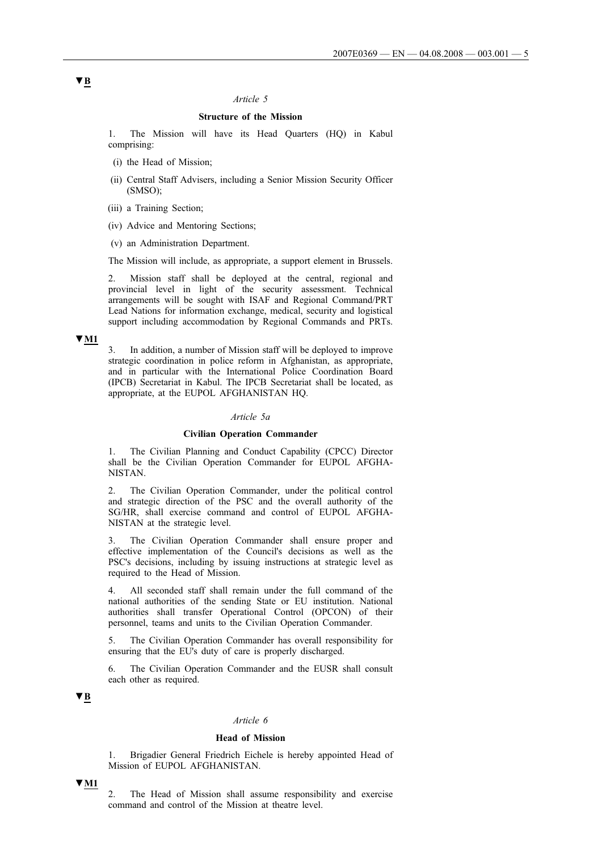## **Structure of the Mission**

1. The Mission will have its Head Quarters (HQ) in Kabul comprising:

- (i) the Head of Mission;
- (ii) Central Staff Advisers, including a Senior Mission Security Officer (SMSO);
- (iii) a Training Section;
- (iv) Advice and Mentoring Sections;
- (v) an Administration Department.

The Mission will include, as appropriate, a support element in Brussels.

2. Mission staff shall be deployed at the central, regional and provincial level in light of the security assessment. Technical arrangements will be sought with ISAF and Regional Command/PRT Lead Nations for information exchange, medical, security and logistical support including accommodation by Regional Commands and PRTs.

#### **▼M1**

3. In addition, a number of Mission staff will be deployed to improve strategic coordination in police reform in Afghanistan, as appropriate, and in particular with the International Police Coordination Board (IPCB) Secretariat in Kabul. The IPCB Secretariat shall be located, as appropriate, at the EUPOL AFGHANISTAN HQ.

### *Article 5a*

#### **Civilian Operation Commander**

1. The Civilian Planning and Conduct Capability (CPCC) Director shall be the Civilian Operation Commander for EUPOL AFGHA-NISTAN.

2. The Civilian Operation Commander, under the political control and strategic direction of the PSC and the overall authority of the SG/HR, shall exercise command and control of EUPOL AFGHA-NISTAN at the strategic level.

3. The Civilian Operation Commander shall ensure proper and effective implementation of the Council's decisions as well as the PSC's decisions, including by issuing instructions at strategic level as required to the Head of Mission.

4. All seconded staff shall remain under the full command of the national authorities of the sending State or EU institution. National authorities shall transfer Operational Control (OPCON) of their personnel, teams and units to the Civilian Operation Commander.

5. The Civilian Operation Commander has overall responsibility for ensuring that the EU's duty of care is properly discharged.

6. The Civilian Operation Commander and the EUSR shall consult each other as required.

## **▼B**

#### *Article 6*

## **Head of Mission**

1. Brigadier General Friedrich Eichele is hereby appointed Head of Mission of EUPOL AFGHANISTAN.

### **▼M1**

2. The Head of Mission shall assume responsibility and exercise command and control of the Mission at theatre level.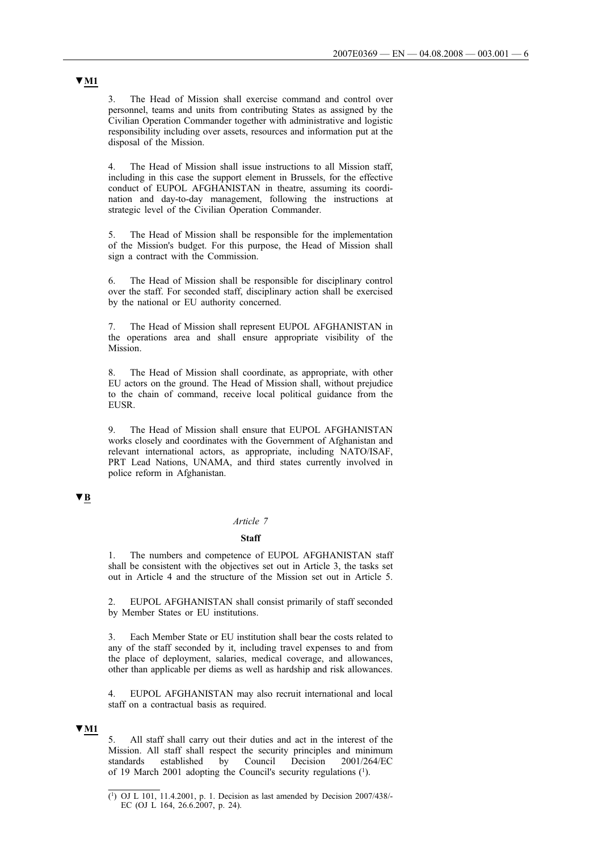3. The Head of Mission shall exercise command and control over personnel, teams and units from contributing States as assigned by the Civilian Operation Commander together with administrative and logistic responsibility including over assets, resources and information put at the disposal of the Mission.

4. The Head of Mission shall issue instructions to all Mission staff, including in this case the support element in Brussels, for the effective conduct of EUPOL AFGHANISTAN in theatre, assuming its coordination and day-to-day management, following the instructions at strategic level of the Civilian Operation Commander.

5. The Head of Mission shall be responsible for the implementation of the Mission's budget. For this purpose, the Head of Mission shall sign a contract with the Commission.

6. The Head of Mission shall be responsible for disciplinary control over the staff. For seconded staff, disciplinary action shall be exercised by the national or EU authority concerned.

7. The Head of Mission shall represent EUPOL AFGHANISTAN in the operations area and shall ensure appropriate visibility of the Mission.

8. The Head of Mission shall coordinate, as appropriate, with other EU actors on the ground. The Head of Mission shall, without prejudice to the chain of command, receive local political guidance from the EUSR.

9. The Head of Mission shall ensure that EUPOL AFGHANISTAN works closely and coordinates with the Government of Afghanistan and relevant international actors, as appropriate, including NATO/ISAF, PRT Lead Nations, UNAMA, and third states currently involved in police reform in Afghanistan.

## **▼B**

#### *Article 7*

#### **Staff**

The numbers and competence of EUPOL AFGHANISTAN staff shall be consistent with the objectives set out in Article 3, the tasks set out in Article 4 and the structure of the Mission set out in Article 5.

2. EUPOL AFGHANISTAN shall consist primarily of staff seconded by Member States or EU institutions.

3. Each Member State or EU institution shall bear the costs related to any of the staff seconded by it, including travel expenses to and from the place of deployment, salaries, medical coverage, and allowances, other than applicable per diems as well as hardship and risk allowances.

4. EUPOL AFGHANISTAN may also recruit international and local staff on a contractual basis as required.

## **▼M1**

5. All staff shall carry out their duties and act in the interest of the Mission. All staff shall respect the security principles and minimum standards established by Council Decision 2001/264/EC of 19 March 2001 adopting the Council's security regulations (1).

## **▼M1**

<sup>(1)</sup> OJ L 101, 11.4.2001, p. 1. Decision as last amended by Decision 2007/438/- EC (OJ L 164, 26.6.2007, p. 24).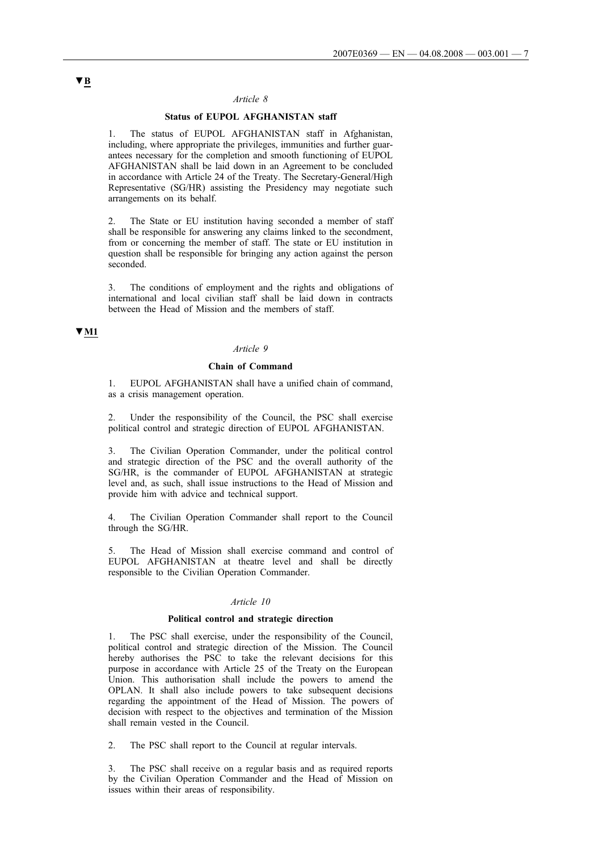## **Status of EUPOL AFGHANISTAN staff**

1. The status of EUPOL AFGHANISTAN staff in Afghanistan, including, where appropriate the privileges, immunities and further guarantees necessary for the completion and smooth functioning of EUPOL AFGHANISTAN shall be laid down in an Agreement to be concluded in accordance with Article 24 of the Treaty. The Secretary-General/High Representative (SG/HR) assisting the Presidency may negotiate such arrangements on its behalf.

2. The State or EU institution having seconded a member of staff shall be responsible for answering any claims linked to the secondment, from or concerning the member of staff. The state or EU institution in question shall be responsible for bringing any action against the person seconded.

3. The conditions of employment and the rights and obligations of international and local civilian staff shall be laid down in contracts between the Head of Mission and the members of staff.

## **▼M1**

## *Article 9*

#### **Chain of Command**

1. EUPOL AFGHANISTAN shall have a unified chain of command, as a crisis management operation.

2. Under the responsibility of the Council, the PSC shall exercise political control and strategic direction of EUPOL AFGHANISTAN.

3. The Civilian Operation Commander, under the political control and strategic direction of the PSC and the overall authority of the SG/HR, is the commander of EUPOL AFGHANISTAN at strategic level and, as such, shall issue instructions to the Head of Mission and provide him with advice and technical support.

4. The Civilian Operation Commander shall report to the Council through the SG/HR.

5. The Head of Mission shall exercise command and control of EUPOL AFGHANISTAN at theatre level and shall be directly responsible to the Civilian Operation Commander.

### *Article 10*

#### **Political control and strategic direction**

1. The PSC shall exercise, under the responsibility of the Council, political control and strategic direction of the Mission. The Council hereby authorises the PSC to take the relevant decisions for this purpose in accordance with Article 25 of the Treaty on the European Union. This authorisation shall include the powers to amend the OPLAN. It shall also include powers to take subsequent decisions regarding the appointment of the Head of Mission. The powers of decision with respect to the objectives and termination of the Mission shall remain vested in the Council.

2. The PSC shall report to the Council at regular intervals.

3. The PSC shall receive on a regular basis and as required reports by the Civilian Operation Commander and the Head of Mission on issues within their areas of responsibility.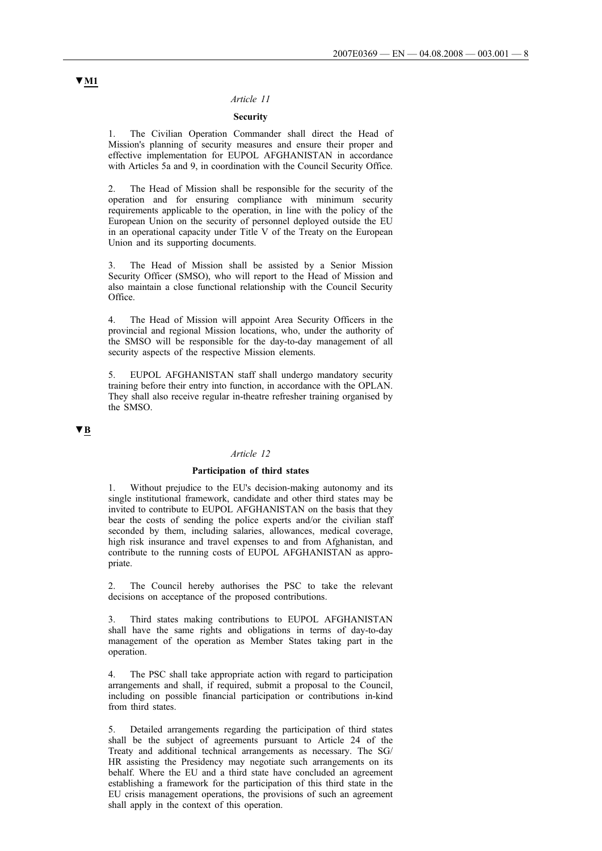## **Security**

1. The Civilian Operation Commander shall direct the Head of Mission's planning of security measures and ensure their proper and effective implementation for EUPOL AFGHANISTAN in accordance with Articles 5a and 9, in coordination with the Council Security Office.

2. The Head of Mission shall be responsible for the security of the operation and for ensuring compliance with minimum security requirements applicable to the operation, in line with the policy of the European Union on the security of personnel deployed outside the EU in an operational capacity under Title V of the Treaty on the European Union and its supporting documents.

3. The Head of Mission shall be assisted by a Senior Mission Security Officer (SMSO), who will report to the Head of Mission and also maintain a close functional relationship with the Council Security Office.

The Head of Mission will appoint Area Security Officers in the provincial and regional Mission locations, who, under the authority of the SMSO will be responsible for the day-to-day management of all security aspects of the respective Mission elements.

5. EUPOL AFGHANISTAN staff shall undergo mandatory security training before their entry into function, in accordance with the OPLAN. They shall also receive regular in-theatre refresher training organised by the SMSO.

## **▼B**

#### *Article 12*

### **Participation of third states**

1. Without prejudice to the EU's decision-making autonomy and its single institutional framework, candidate and other third states may be invited to contribute to EUPOL AFGHANISTAN on the basis that they bear the costs of sending the police experts and/or the civilian staff seconded by them, including salaries, allowances, medical coverage, high risk insurance and travel expenses to and from Afghanistan, and contribute to the running costs of EUPOL AFGHANISTAN as appropriate.

2. The Council hereby authorises the PSC to take the relevant decisions on acceptance of the proposed contributions.

3. Third states making contributions to EUPOL AFGHANISTAN shall have the same rights and obligations in terms of day-to-day management of the operation as Member States taking part in the operation.

4. The PSC shall take appropriate action with regard to participation arrangements and shall, if required, submit a proposal to the Council, including on possible financial participation or contributions in-kind from third states.

5. Detailed arrangements regarding the participation of third states shall be the subject of agreements pursuant to Article 24 of the Treaty and additional technical arrangements as necessary. The SG/ HR assisting the Presidency may negotiate such arrangements on its behalf. Where the EU and a third state have concluded an agreement establishing a framework for the participation of this third state in the EU crisis management operations, the provisions of such an agreement shall apply in the context of this operation.

## **▼M1**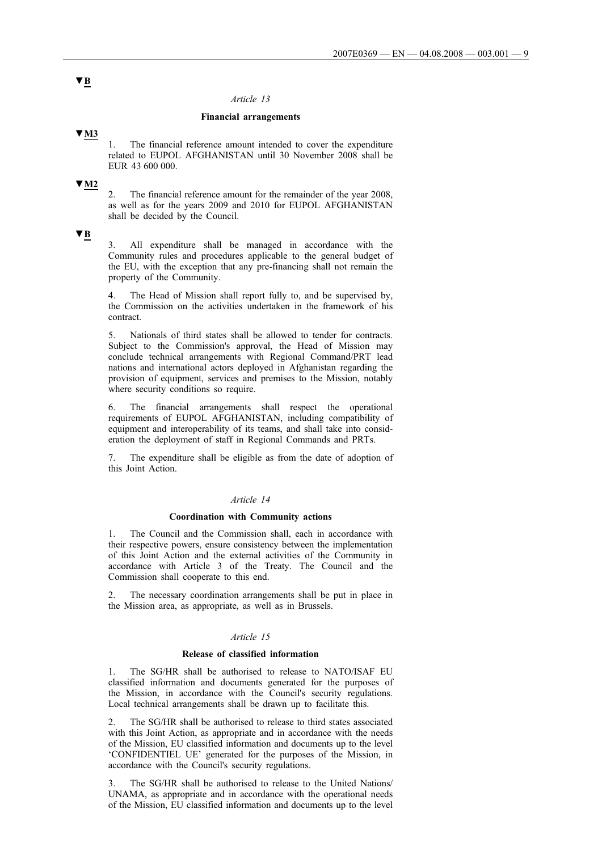### **Financial arrangements**

## **▼M3**

1. The financial reference amount intended to cover the expenditure related to EUPOL AFGHANISTAN until 30 November 2008 shall be EUR 43 600 000.

## **▼M2**

2. The financial reference amount for the remainder of the year 2008, as well as for the years 2009 and 2010 for EUPOL AFGHANISTAN shall be decided by the Council.

### **▼B**

3. All expenditure shall be managed in accordance with the Community rules and procedures applicable to the general budget of the EU, with the exception that any pre-financing shall not remain the property of the Community.

4. The Head of Mission shall report fully to, and be supervised by, the Commission on the activities undertaken in the framework of his contract.

5. Nationals of third states shall be allowed to tender for contracts. Subject to the Commission's approval, the Head of Mission may conclude technical arrangements with Regional Command/PRT lead nations and international actors deployed in Afghanistan regarding the provision of equipment, services and premises to the Mission, notably where security conditions so require.

6. The financial arrangements shall respect the operational requirements of EUPOL AFGHANISTAN, including compatibility of equipment and interoperability of its teams, and shall take into consideration the deployment of staff in Regional Commands and PRTs.

7. The expenditure shall be eligible as from the date of adoption of this Joint Action.

#### *Article 14*

### **Coordination with Community actions**

1. The Council and the Commission shall, each in accordance with their respective powers, ensure consistency between the implementation of this Joint Action and the external activities of the Community in accordance with Article 3 of the Treaty. The Council and the Commission shall cooperate to this end.

The necessary coordination arrangements shall be put in place in the Mission area, as appropriate, as well as in Brussels.

## *Article 15*

#### **Release of classified information**

1. The SG/HR shall be authorised to release to NATO/ISAF EU classified information and documents generated for the purposes of the Mission, in accordance with the Council's security regulations. Local technical arrangements shall be drawn up to facilitate this.

2. The SG/HR shall be authorised to release to third states associated with this Joint Action, as appropriate and in accordance with the needs of the Mission, EU classified information and documents up to the level 'CONFIDENTIEL UE' generated for the purposes of the Mission, in accordance with the Council's security regulations.

3. The SG/HR shall be authorised to release to the United Nations/ UNAMA, as appropriate and in accordance with the operational needs of the Mission, EU classified information and documents up to the level